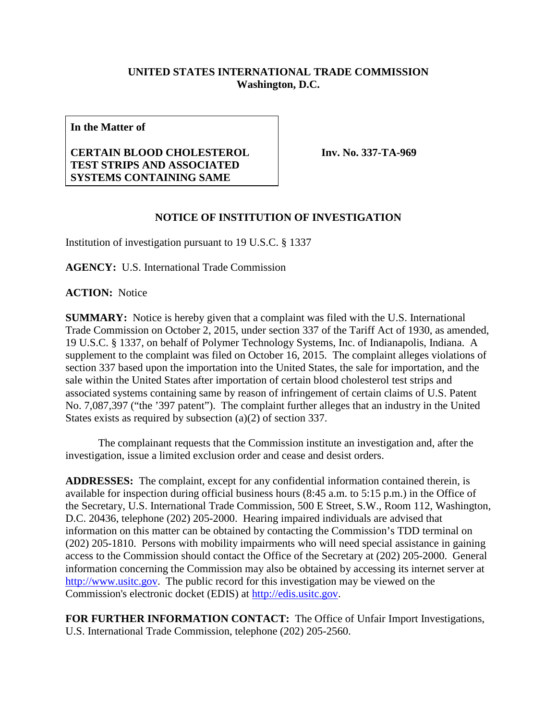## **UNITED STATES INTERNATIONAL TRADE COMMISSION Washington, D.C.**

**In the Matter of**

## **CERTAIN BLOOD CHOLESTEROL TEST STRIPS AND ASSOCIATED SYSTEMS CONTAINING SAME**

**Inv. No. 337-TA-969**

## **NOTICE OF INSTITUTION OF INVESTIGATION**

Institution of investigation pursuant to 19 U.S.C. § 1337

**AGENCY:** U.S. International Trade Commission

**ACTION:** Notice

**SUMMARY:** Notice is hereby given that a complaint was filed with the U.S. International Trade Commission on October 2, 2015, under section 337 of the Tariff Act of 1930, as amended, 19 U.S.C. § 1337, on behalf of Polymer Technology Systems, Inc. of Indianapolis, Indiana. A supplement to the complaint was filed on October 16, 2015. The complaint alleges violations of section 337 based upon the importation into the United States, the sale for importation, and the sale within the United States after importation of certain blood cholesterol test strips and associated systems containing same by reason of infringement of certain claims of U.S. Patent No. 7,087,397 ("the '397 patent"). The complaint further alleges that an industry in the United States exists as required by subsection (a)(2) of section 337.

The complainant requests that the Commission institute an investigation and, after the investigation, issue a limited exclusion order and cease and desist orders.

**ADDRESSES:** The complaint, except for any confidential information contained therein, is available for inspection during official business hours (8:45 a.m. to 5:15 p.m.) in the Office of the Secretary, U.S. International Trade Commission, 500 E Street, S.W., Room 112, Washington, D.C. 20436, telephone (202) 205-2000. Hearing impaired individuals are advised that information on this matter can be obtained by contacting the Commission's TDD terminal on (202) 205-1810. Persons with mobility impairments who will need special assistance in gaining access to the Commission should contact the Office of the Secretary at (202) 205-2000. General information concerning the Commission may also be obtained by accessing its internet server at [http://www.usitc.gov.](http://www.usitc.gov/) The public record for this investigation may be viewed on the Commission's electronic docket (EDIS) at [http://edis.usitc.gov.](http://edis.usitc.gov/)

**FOR FURTHER INFORMATION CONTACT:** The Office of Unfair Import Investigations, U.S. International Trade Commission, telephone (202) 205-2560.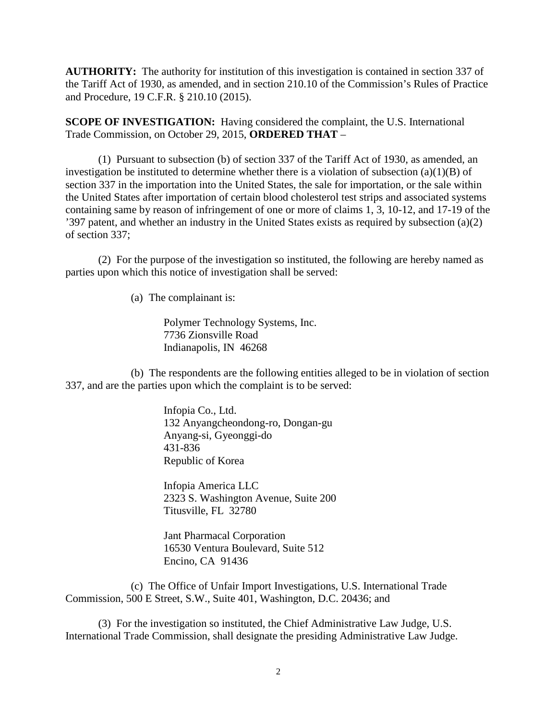**AUTHORITY:** The authority for institution of this investigation is contained in section 337 of the Tariff Act of 1930, as amended, and in section 210.10 of the Commission's Rules of Practice and Procedure, 19 C.F.R. § 210.10 (2015).

**SCOPE OF INVESTIGATION:** Having considered the complaint, the U.S. International Trade Commission, on October 29, 2015, **ORDERED THAT** –

(1) Pursuant to subsection (b) of section 337 of the Tariff Act of 1930, as amended, an investigation be instituted to determine whether there is a violation of subsection  $(a)(1)(B)$  of section 337 in the importation into the United States, the sale for importation, or the sale within the United States after importation of certain blood cholesterol test strips and associated systems containing same by reason of infringement of one or more of claims 1, 3, 10-12, and 17-19 of the '397 patent, and whether an industry in the United States exists as required by subsection (a)(2) of section 337;

(2) For the purpose of the investigation so instituted, the following are hereby named as parties upon which this notice of investigation shall be served:

(a) The complainant is:

Polymer Technology Systems, Inc. 7736 Zionsville Road Indianapolis, IN 46268

(b) The respondents are the following entities alleged to be in violation of section 337, and are the parties upon which the complaint is to be served:

> Infopia Co., Ltd. 132 Anyangcheondong-ro, Dongan-gu Anyang-si, Gyeonggi-do 431-836 Republic of Korea

Infopia America LLC 2323 S. Washington Avenue, Suite 200 Titusville, FL 32780

Jant Pharmacal Corporation 16530 Ventura Boulevard, Suite 512 Encino, CA 91436

(c) The Office of Unfair Import Investigations, U.S. International Trade Commission, 500 E Street, S.W., Suite 401, Washington, D.C. 20436; and

(3) For the investigation so instituted, the Chief Administrative Law Judge, U.S. International Trade Commission, shall designate the presiding Administrative Law Judge.